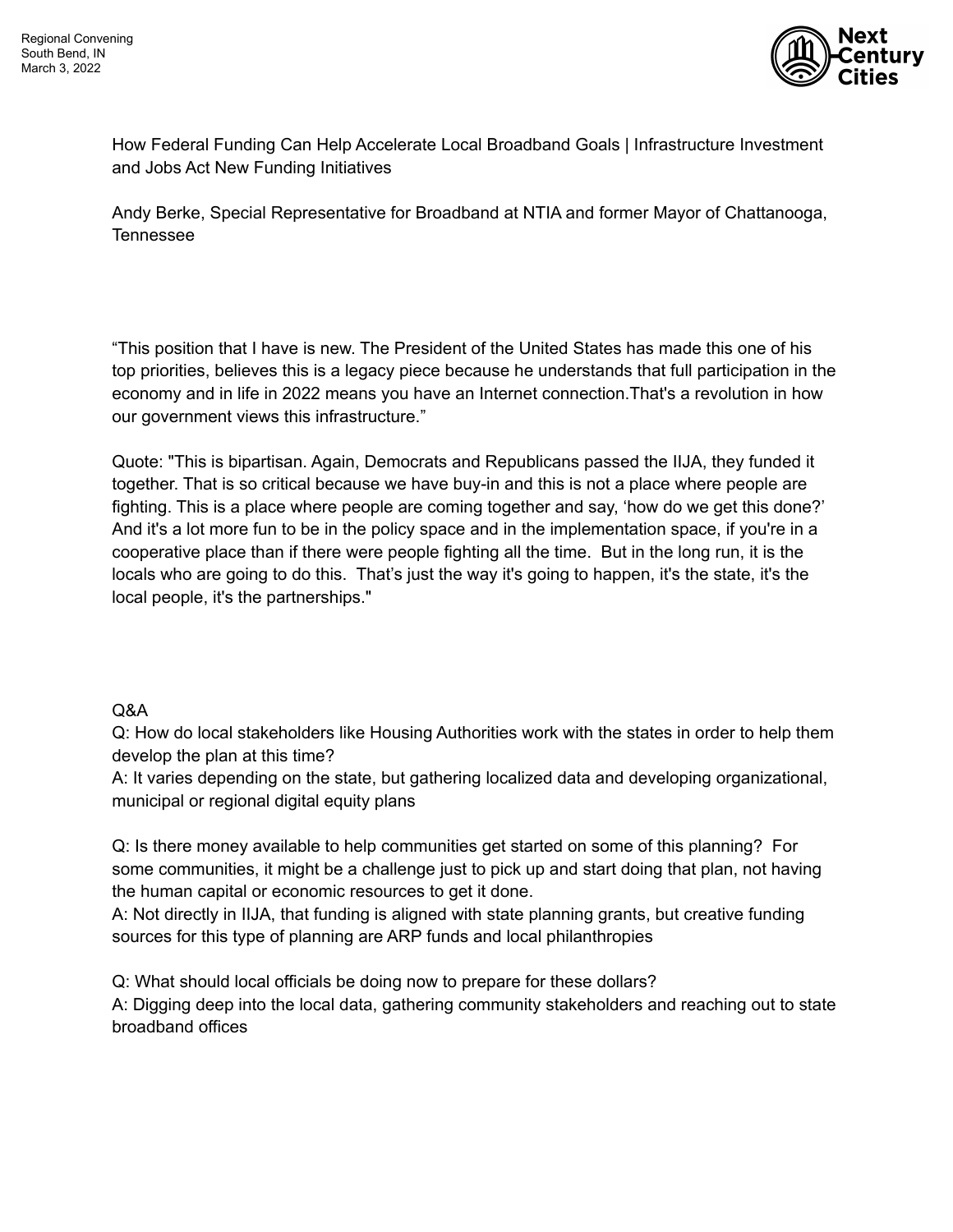

How Federal Funding Can Help Accelerate Local Broadband Goals | Infrastructure Investment and Jobs Act New Funding Initiatives

Andy Berke, Special Representative for Broadband at NTIA and former Mayor of Chattanooga, Tennessee

"This position that I have is new. The President of the United States has made this one of his top priorities, believes this is a legacy piece because he understands that full participation in the economy and in life in 2022 means you have an Internet connection.That's a revolution in how our government views this infrastructure."

Quote: "This is bipartisan. Again, Democrats and Republicans passed the IIJA, they funded it together. That is so critical because we have buy-in and this is not a place where people are fighting. This is a place where people are coming together and say, 'how do we get this done?' And it's a lot more fun to be in the policy space and in the implementation space, if you're in a cooperative place than if there were people fighting all the time. But in the long run, it is the locals who are going to do this. That's just the way it's going to happen, it's the state, it's the local people, it's the partnerships."

#### Q&A

Q: How do local stakeholders like Housing Authorities work with the states in order to help them develop the plan at this time?

A: It varies depending on the state, but gathering localized data and developing organizational, municipal or regional digital equity plans

Q: Is there money available to help communities get started on some of this planning? For some communities, it might be a challenge just to pick up and start doing that plan, not having the human capital or economic resources to get it done.

A: Not directly in IIJA, that funding is aligned with state planning grants, but creative funding sources for this type of planning are ARP funds and local philanthropies

Q: What should local officials be doing now to prepare for these dollars?

A: Digging deep into the local data, gathering community stakeholders and reaching out to state broadband offices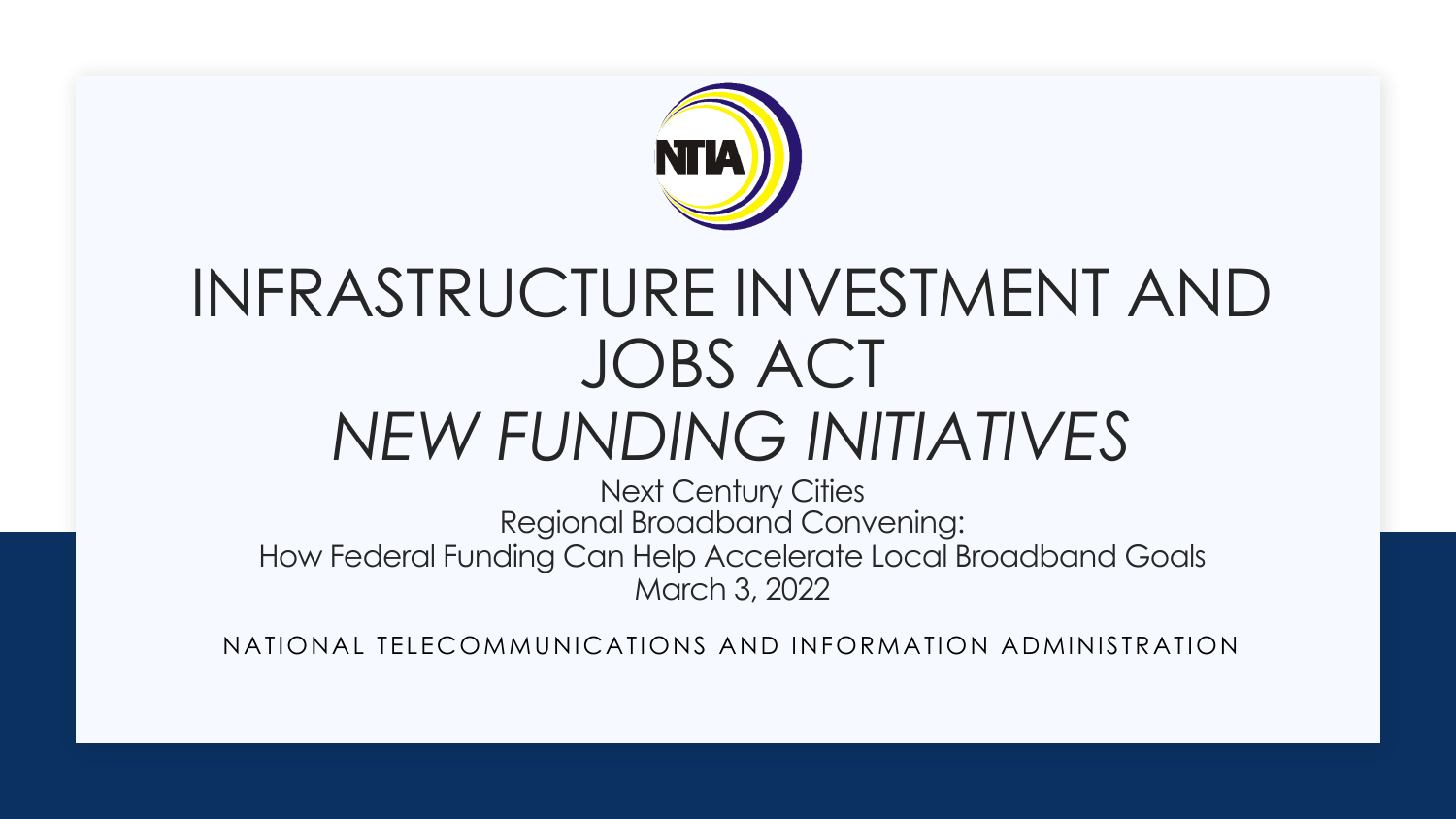

# INFRASTRUCTURE INVESTMENT AND JOBS ACT *NEW FUNDING INITIATIVES*

Next Century Cities Regional Broadband Convening: How Federal Funding Can Help Accelerate Local Broadband Goals March 3, 2022

NATIONAL TELECOMMUNICATIONS AND INFORMATION ADMINISTRATION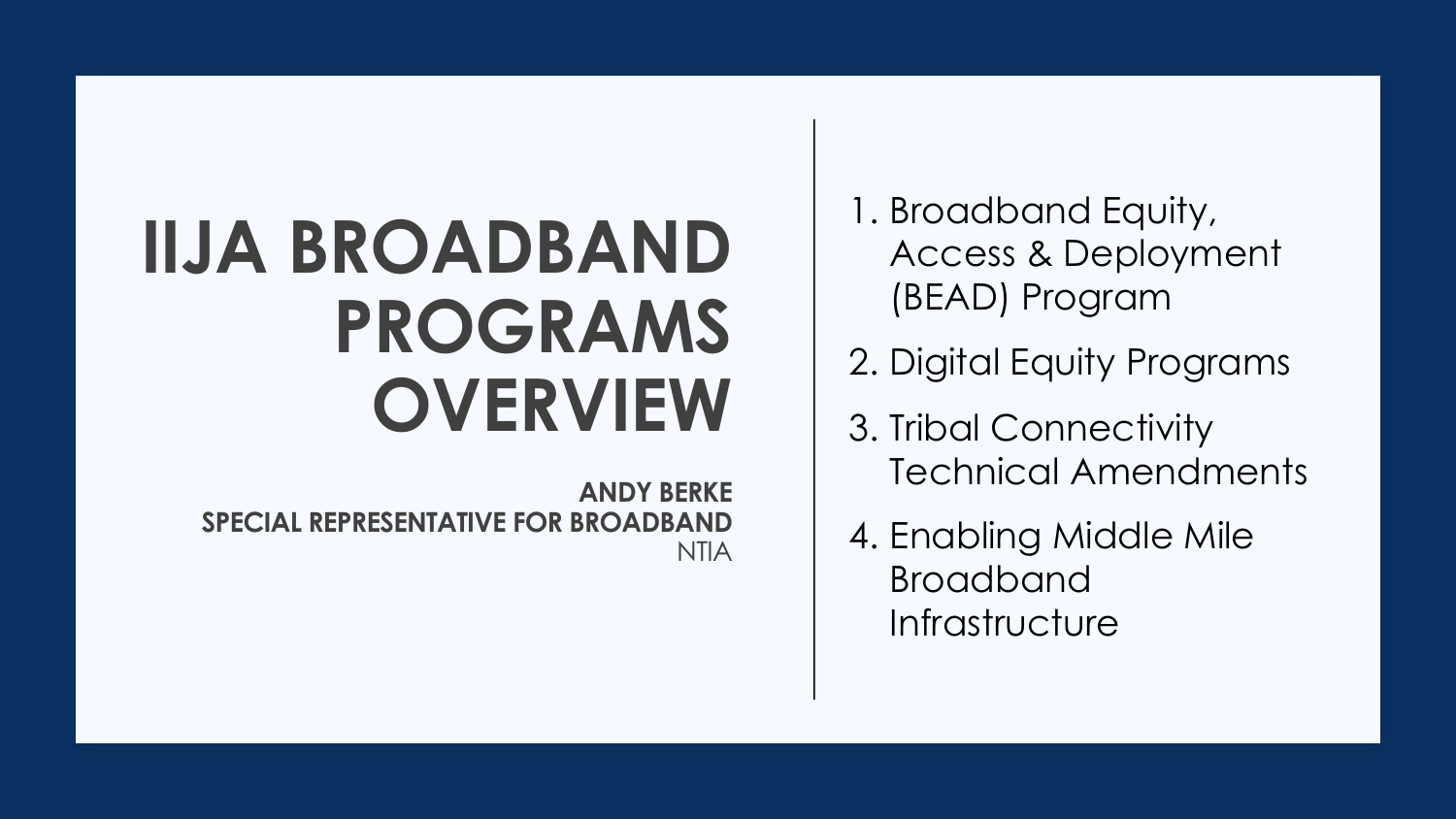# **IIJA BROADBAND PROGRAMS OVERVIEW**

**ANDY BERKE SPECIAL REPRESENTATIVE FOR BROADBAND** NTIA 1. Broadband Equity, Access & Deployment (BEAD) Program

- 2. Digital Equity Programs
- 3. Tribal Connectivity Technical Amendments
- 4. Enabling Middle Mile Broadband **Infrastructure**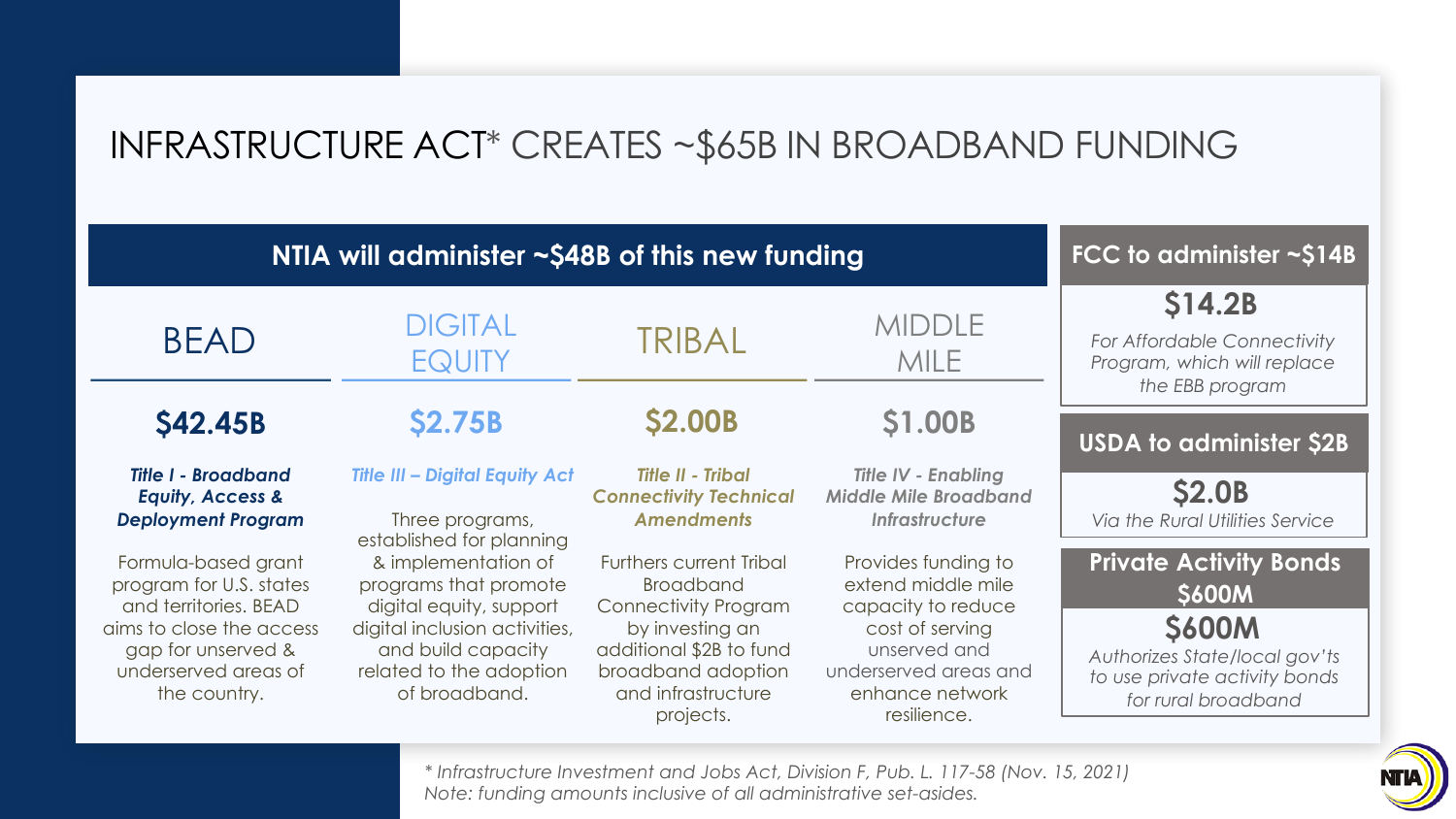# INFRASTRUCTURE ACT\* CREATES ~\$65B IN BROADBAND FUNDING

| NTIA will administer ~\$48B of this new funding                                                                                                                   | FCC to administer ~\$14B                                                                                                                                                   |                                                                                                                                                                                          |                                                                                                                                                               |                                                                                                                                                        |
|-------------------------------------------------------------------------------------------------------------------------------------------------------------------|----------------------------------------------------------------------------------------------------------------------------------------------------------------------------|------------------------------------------------------------------------------------------------------------------------------------------------------------------------------------------|---------------------------------------------------------------------------------------------------------------------------------------------------------------|--------------------------------------------------------------------------------------------------------------------------------------------------------|
| <b>BEAD</b>                                                                                                                                                       | <b>DIGITAL</b><br><b>EQUITY</b>                                                                                                                                            | TRIBAL                                                                                                                                                                                   | <b>MIDDLE</b><br><b>MILE</b>                                                                                                                                  | \$14.2B<br>For Affordable Connectivity<br>Program, which will replace<br>the EBB program                                                               |
| <b>\$42.45B</b>                                                                                                                                                   | <b>\$2.75B</b>                                                                                                                                                             | <b>\$2.00B</b>                                                                                                                                                                           | \$1.00B                                                                                                                                                       | <b>USDA to administer \$2B</b>                                                                                                                         |
| <b>Title I - Broadband</b><br><b>Equity, Access &amp;</b><br><b>Deployment Program</b>                                                                            | <b>Title III - Digital Equity Act</b><br>Three programs,<br>established for planning                                                                                       | <b>Title II - Tribal</b><br><b>Connectivity Technical</b><br><b>Amendments</b>                                                                                                           | <b>Title IV - Enabling</b><br><b>Middle Mile Broadband</b><br><b>Infrastructure</b>                                                                           | <b>\$2.0B</b><br>Via the Rural Utilities Service                                                                                                       |
| Formula-based grant<br>program for U.S. states<br>and territories. BEAD<br>aims to close the access<br>gap for unserved &<br>underserved areas of<br>the country. | & implementation of<br>programs that promote<br>digital equity, support<br>digital inclusion activities,<br>and build capacity<br>related to the adoption<br>of broadband. | <b>Furthers current Tribal</b><br><b>Broadband</b><br><b>Connectivity Program</b><br>by investing an<br>additional \$2B to fund<br>broadband adoption<br>and infrastructure<br>projects. | Provides funding to<br>extend middle mile<br>capacity to reduce<br>cost of serving<br>unserved and<br>underserved areas and<br>enhance network<br>resilience. | <b>Private Activity Bonds</b><br><b>S600M</b><br><b>S600M</b><br>Authorizes State/local gov'ts<br>to use private activity bonds<br>for rural broadband |

*\* Infrastructure Investment and Jobs Act, Division F, Pub. L. 117-58 (Nov. 15, 2021) Note: funding amounts inclusive of all administrative set-asides.*

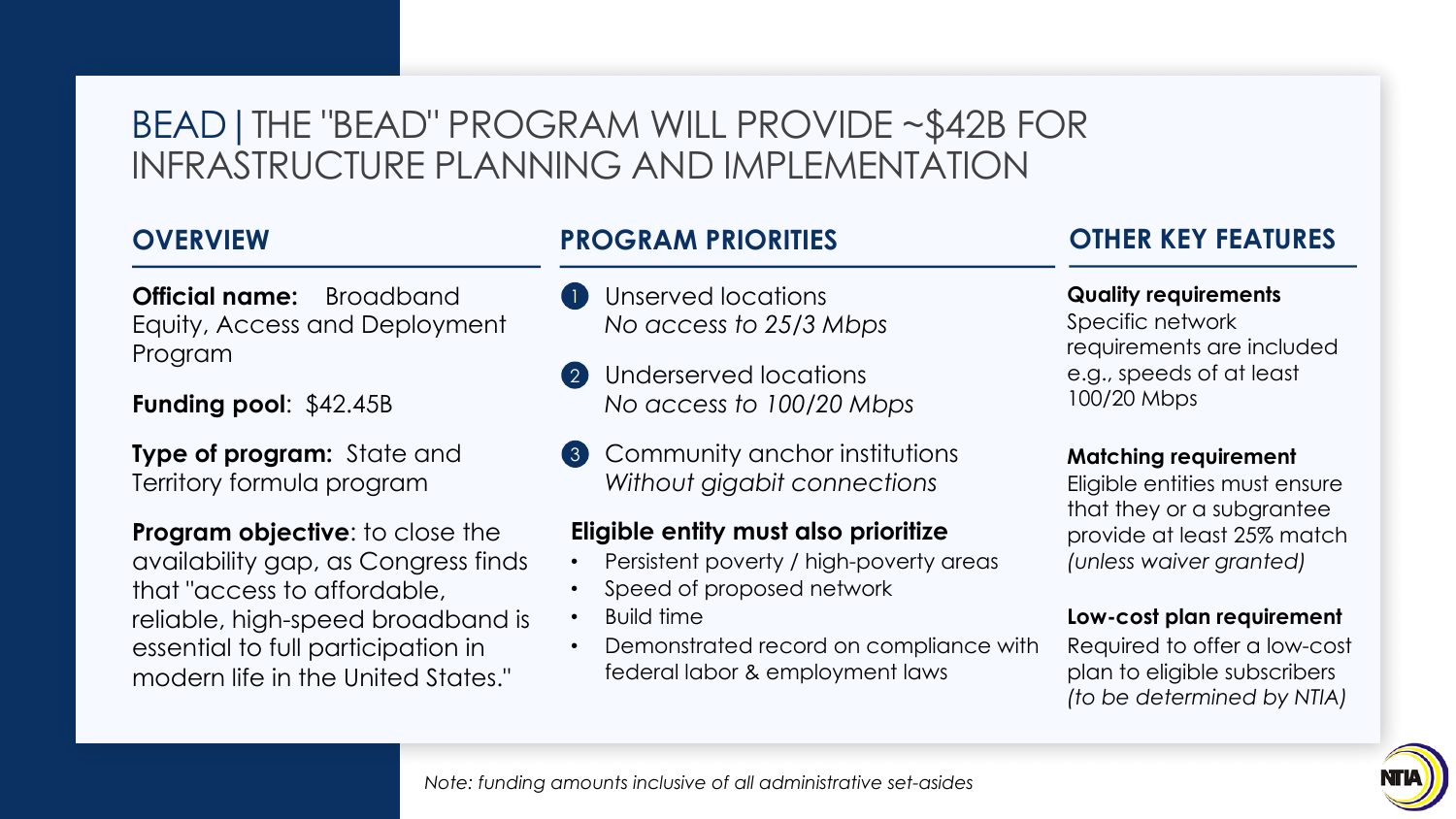# BEAD|THE "BEAD" PROGRAM WILL PROVIDE ~\$42B FOR INFRASTRUCTURE PLANNING AND IMPLEMENTATION

## **OVERVIEW**

**Official name:** Broadband Equity, Access and Deployment Program

**Funding pool**: \$42.45B

**Type of program:** State and Territory formula program

**Program objective:** to close the availability gap, as Congress finds that "access to affordable, reliable, high-speed broadband is essential to full participation in modern life in the United States."

## **PROGRAM PRIORITIES**

- Unserved locations *No access to 25/3 Mbps*
- Underserved locations *No access to 100/20 Mbps* 2
- **3** Community anchor institutions *Without gigabit connections*

#### **Eligible entity must also prioritize**

- Persistent poverty / high-poverty areas
- Speed of proposed network
- Build time
- Demonstrated record on compliance with federal labor & employment laws

## **OTHER KEY FEATURES**

#### **Quality requirements**

Specific network requirements are included e.g., speeds of at least 100/20 Mbps

#### **Matching requirement**

Eligible entities must ensure that they or a subgrantee provide at least 25% match *(unless waiver granted)*

#### **Low-cost plan requirement**

Required to offer a low-cost plan to eligible subscribers *(to be determined by NTIA)*



*Note: funding amounts inclusive of all administrative set-asides*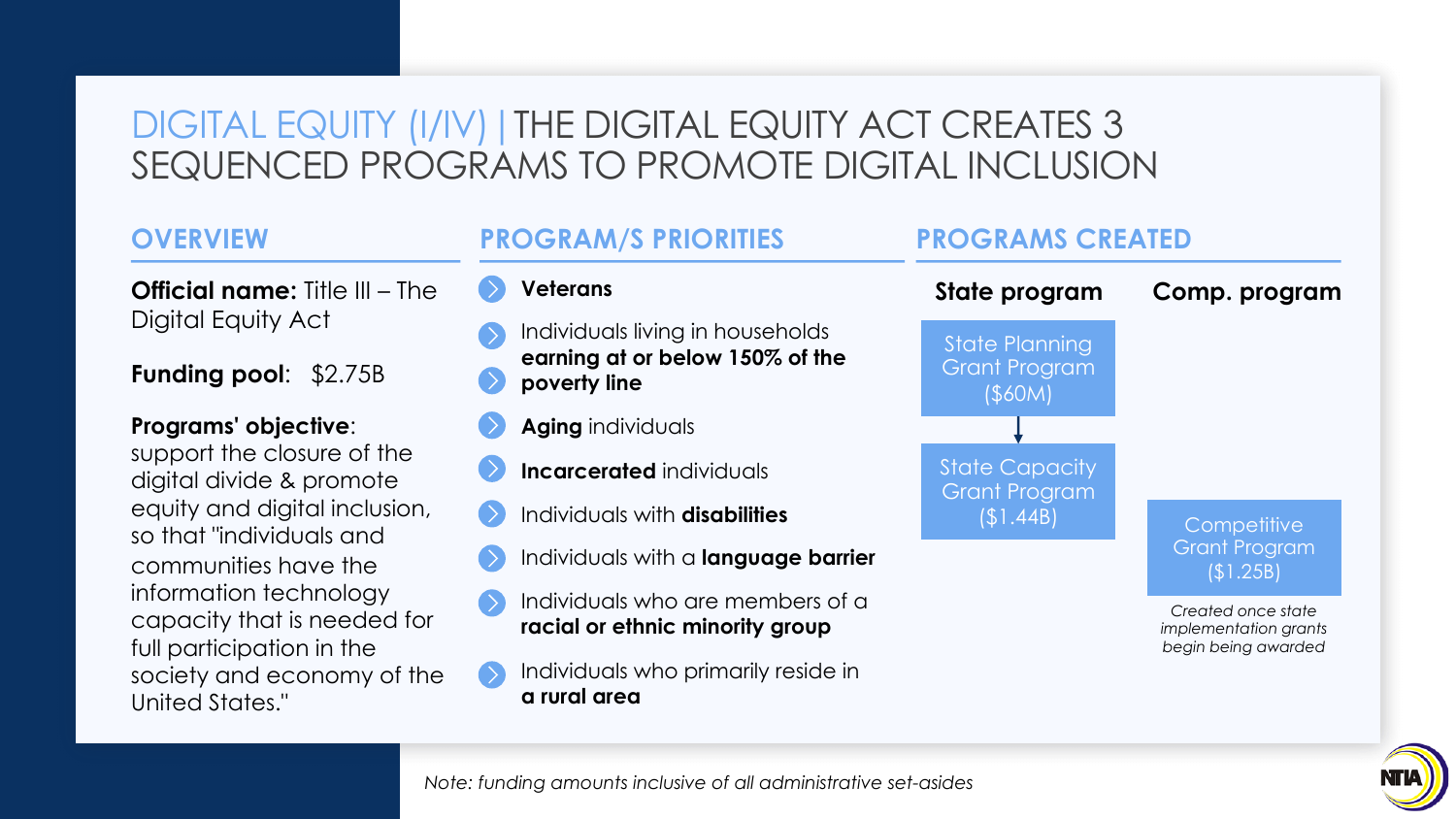# DIGITAL EQUITY (I/IV) | THE DIGITAL EQUITY ACT CREATES 3 SEQUENCED PROGRAMS TO PROMOTE DIGITAL INCLUSION

# **OVERVIEW**

**Official name: The III** Digital Equity Ac

**Funding pool:** 

#### **Programs' object**

support the closure digital divide & p equity and digita so that "individual communities have information tech capacity that is full participation society and econ United States."

|                                                          | <b>PROGRAM/S PRIORITIES</b>                                                         | <b>PROGRAMS CREATED</b>                                 |                                                                    |
|----------------------------------------------------------|-------------------------------------------------------------------------------------|---------------------------------------------------------|--------------------------------------------------------------------|
| $\overline{\phantom{a}}$ itle III – The                  | <b>Veterans</b>                                                                     | State program                                           | Comp. program                                                      |
| ct<br>\$2.75B                                            | Individuals living in households<br>earning at or below 150% of the<br>poverty line | <b>State Planning</b><br><b>Grant Program</b><br>(S60M) |                                                                    |
| tive∶                                                    | <b>Aging individuals</b>                                                            |                                                         |                                                                    |
| ure of the<br>promote                                    | <b>Incarcerated</b> individuals                                                     | <b>State Capacity</b><br><b>Grant Program</b>           |                                                                    |
| al inclusion,<br>als and                                 | Individuals with disabilities                                                       | (\$1.44B)                                               | Competitive                                                        |
| ve the<br>inology<br>needed for<br>in the<br>nomy of the | Individuals with a language barrier                                                 |                                                         | <b>Grant Program</b><br>(\$1.25B)                                  |
|                                                          | Individuals who are members of a<br>racial or ethnic minority group                 |                                                         | Created once state<br>implementation grants<br>begin being awarded |
|                                                          | Individuals who primarily reside in<br>$($ $\geq$<br>a rural area                   |                                                         |                                                                    |

*Note: funding amounts inclusive of all administrative set-asides*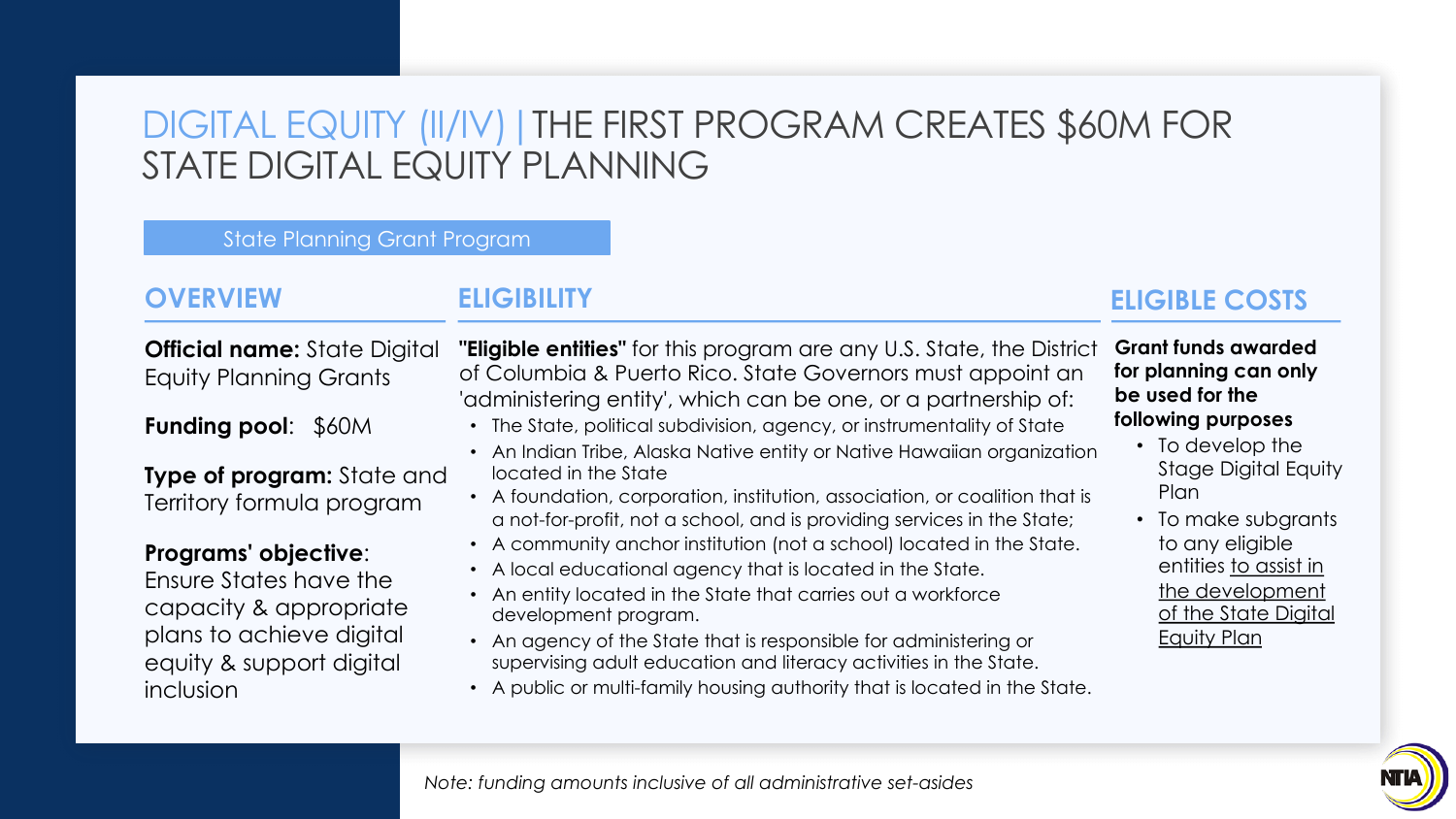# DIGITAL EQUITY (II/IV) | THE FIRST PROGRAM CREATES \$60M FOR STATE DIGITAL EQUITY PLANNING

#### State Planning Grant Program

### **OVERVIEW**

**ELIGIBILITY**

**Official name:** State Digital Equity Planning Grants

**Funding pool**: \$60M

**Type of program:** State and Territory formula program

#### **Programs' objective**:

Ensure States have the capacity & appropriate plans to achieve digital equity & support digital inclusion

**"Eligible entities"** for this program are any U.S. State, the District of Columbia & Puerto Rico. State Governors must appoint an 'administering entity', which can be one, or a partnership of:

- The State, political subdivision, agency, or instrumentality of State
- An Indian Tribe, Alaska Native entity or Native Hawaiian organization located in the State
- A foundation, corporation, institution, association, or coalition that is a not-for-profit, not a school, and is providing services in the State;
- A community anchor institution (not a school) located in the State.
- A local educational agency that is located in the State.
- An entity located in the State that carries out a workforce development program.
- An agency of the State that is responsible for administering or supervising adult education and literacy activities in the State.
- A public or multi-family housing authority that is located in the State.

# **ELIGIBLE COSTS**

**Grant funds awarded for planning can only be used for the following purposes**

- To develop the Stage Digital Equity Plan
- To make subgrants to any eligible entities to assist in the development of the State Digital Equity Plan

*Note: funding amounts inclusive of all administrative set-asides*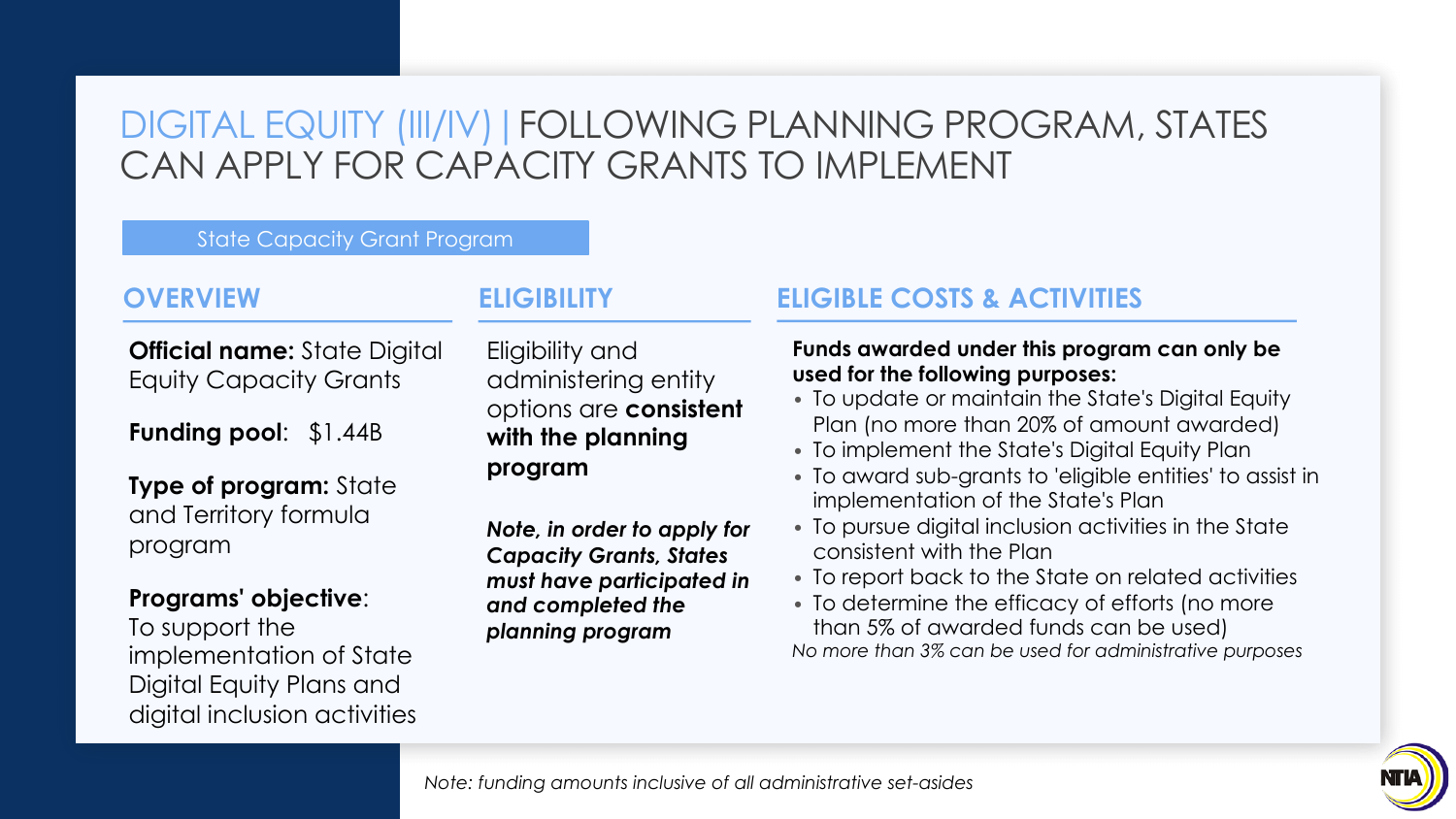# DIGITAL EQUITY (III/IV) | FOLLOWING PLANNING PROGRAM, STATES CAN APPLY FOR CAPACITY GRANTS TO IMPLEMENT

#### State Capacity Grant Program

#### **OVERVIEW**

**Official name:** State Digital Equity Capacity Grants

**Funding pool**: \$1.44B

**Type of program:** State and Territory formula program

#### **Programs' objective**:

To support the implementation of State Digital Equity Plans and digital inclusion activities

### **ELIGIBILITY**

Eligibility and administering entity options are **consistent with the planning program**

*Note, in order to apply for Capacity Grants, States must have participated in and completed the planning program*

## **ELIGIBLE COSTS & ACTIVITIES**

#### **Funds awarded under this program can only be used for the following purposes:**

- To update or maintain the State's Digital Equity Plan (no more than 20% of amount awarded)
- To implement the State's Digital Equity Plan
- To award sub-grants to 'eligible entities' to assist in implementation of the State's Plan
- To pursue digital inclusion activities in the State consistent with the Plan
- To report back to the State on related activities
- To determine the efficacy of efforts (no more than 5% of awarded funds can be used) *No more than 3% can be used for administrative purposes*

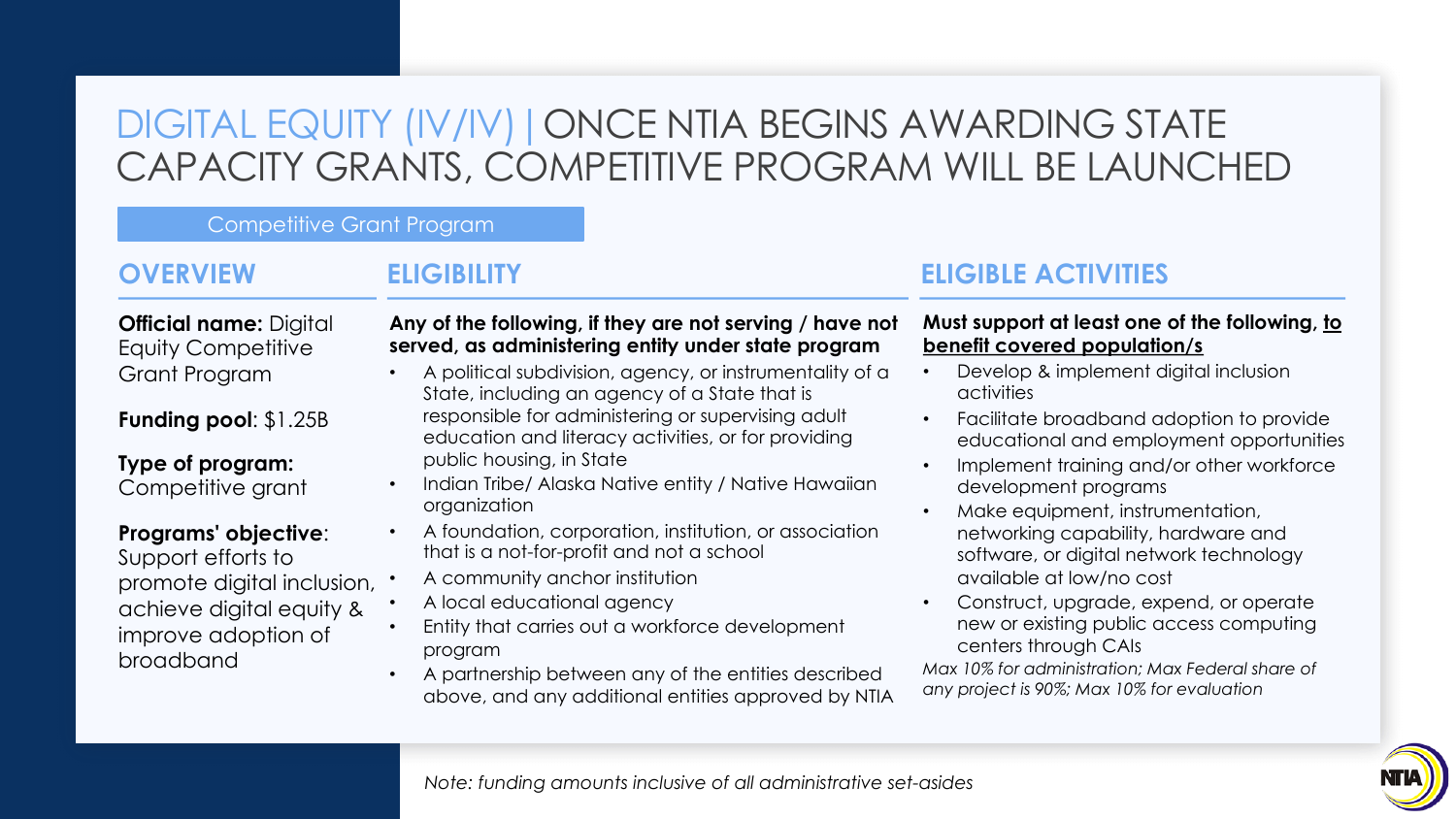# DIGITAL EQUITY (IV/IV) | ONCE NTIA BEGINS AWARDING STATE CAPACITY GRANTS, COMPETITIVE PROGRAM WILL BE LAUNCHED

#### Competitive Grant Program

# **OVERVIEW**

## **ELIGIBILITY**

#### **Official name:** Digital Equity Competitive Grant Program

**Funding pool**: \$1.25B

#### **Type of program:**  Competitive grant

#### **Programs' objective**:

Support efforts to promote digital inclusion, achieve digital equity & improve adoption of broadband

#### **Any of the following, if they are not serving / have not served, as administering entity under state program**

- A political subdivision, agency, or instrumentality of a State, including an agency of a State that is
- responsible for administering or supervising adult education and literacy activities, or for providing public housing, in State
- Indian Tribe/ Alaska Native entity / Native Hawaiian organization
- A foundation, corporation, institution, or association that is a not-for-profit and not a school
- A community anchor institution
- A local educational agency
- Entity that carries out a workforce development program
- A partnership between any of the entities described above, and any additional entities approved by NTIA

## **ELIGIBLE ACTIVITIES**

#### **Must support at least one of the following, to benefit covered population/s**

- Develop & implement digital inclusion activities
- Facilitate broadband adoption to provide educational and employment opportunities
- Implement training and/or other workforce development programs
- Make equipment, instrumentation, networking capability, hardware and software, or digital network technology available at low/no cost
- Construct, upgrade, expend, or operate new or existing public access computing centers through CAIs

*Max 10% for administration; Max Federal share of any project is 90%; Max 10% for evaluation*

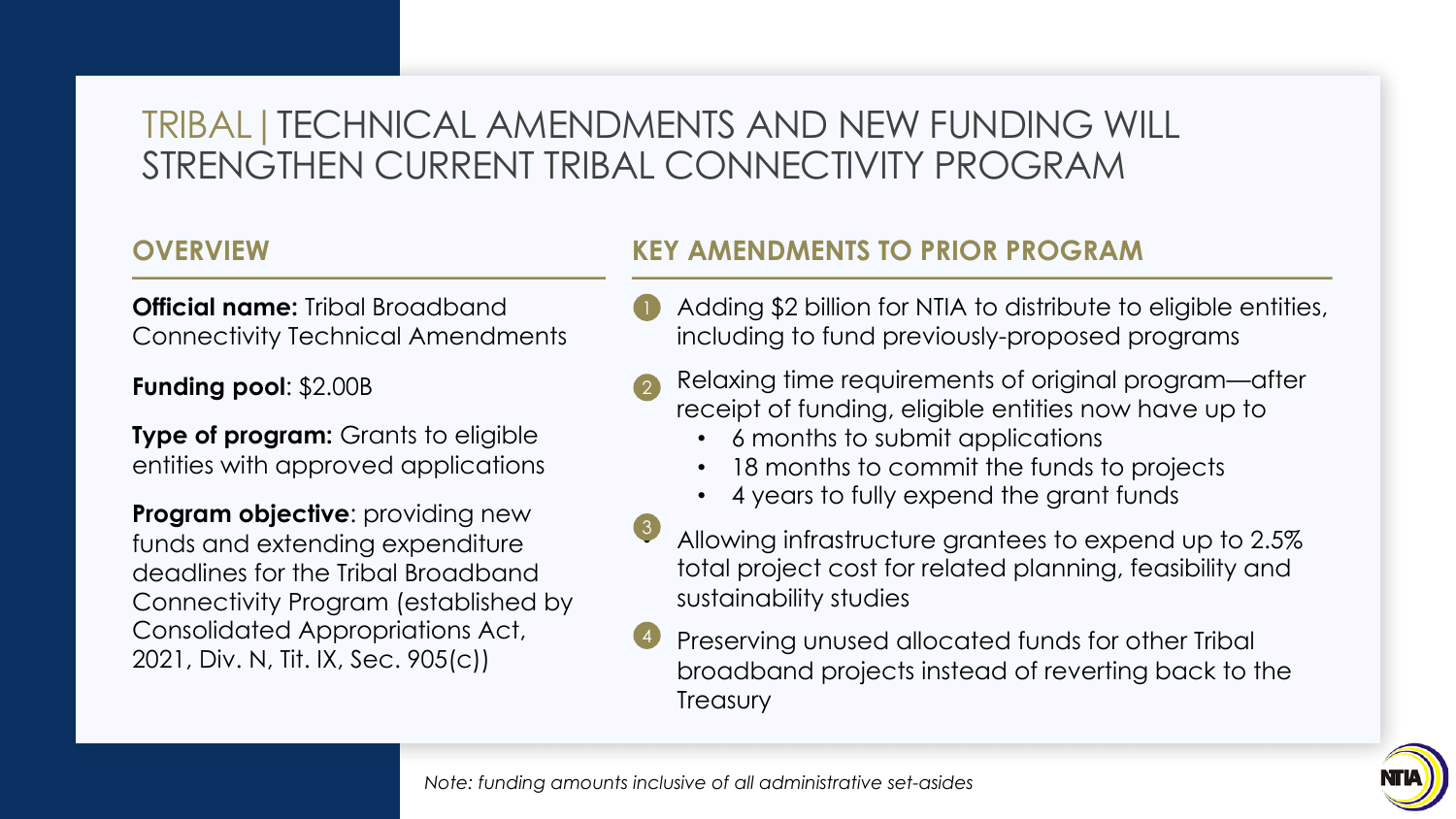# TRIBAL|TECHNICAL AMENDMENTS AND NEW FUNDING WILL STRENGTHEN CURRENT TRIBAL CONNECTIVITY PROGRAM

## **OVERVIEW**

**Official name:** Tribal Broadband Connectivity Technical Amendments

#### **Funding pool**: \$2.00B

**Type of program:** Grants to eligible entities with approved applications

**Program objective:** providing new funds and extending expenditure deadlines for the Tribal Broadband Connectivity Program (established by Consolidated Appropriations Act, 2021, Div. N, Tit. IX, Sec. 905(c))

## **KEY AMENDMENTS TO PRIOR PROGRAM**

- Adding \$2 billion for NTIA to distribute to eligible entities, including to fund previously-proposed programs
- Relaxing time requirements of original program—after receipt of funding, eligible entities now have up to 2
	- 6 months to submit applications
	- 18 months to commit the funds to projects
	- 4 years to fully expend the grant funds
- Allowing infrastructure grantees to expend up to 2.5% total project cost for related planning, feasibility and sustainability studies 3
- Preserving unused allocated funds for other Tribal broadband projects instead of reverting back to the **Treasury** 4

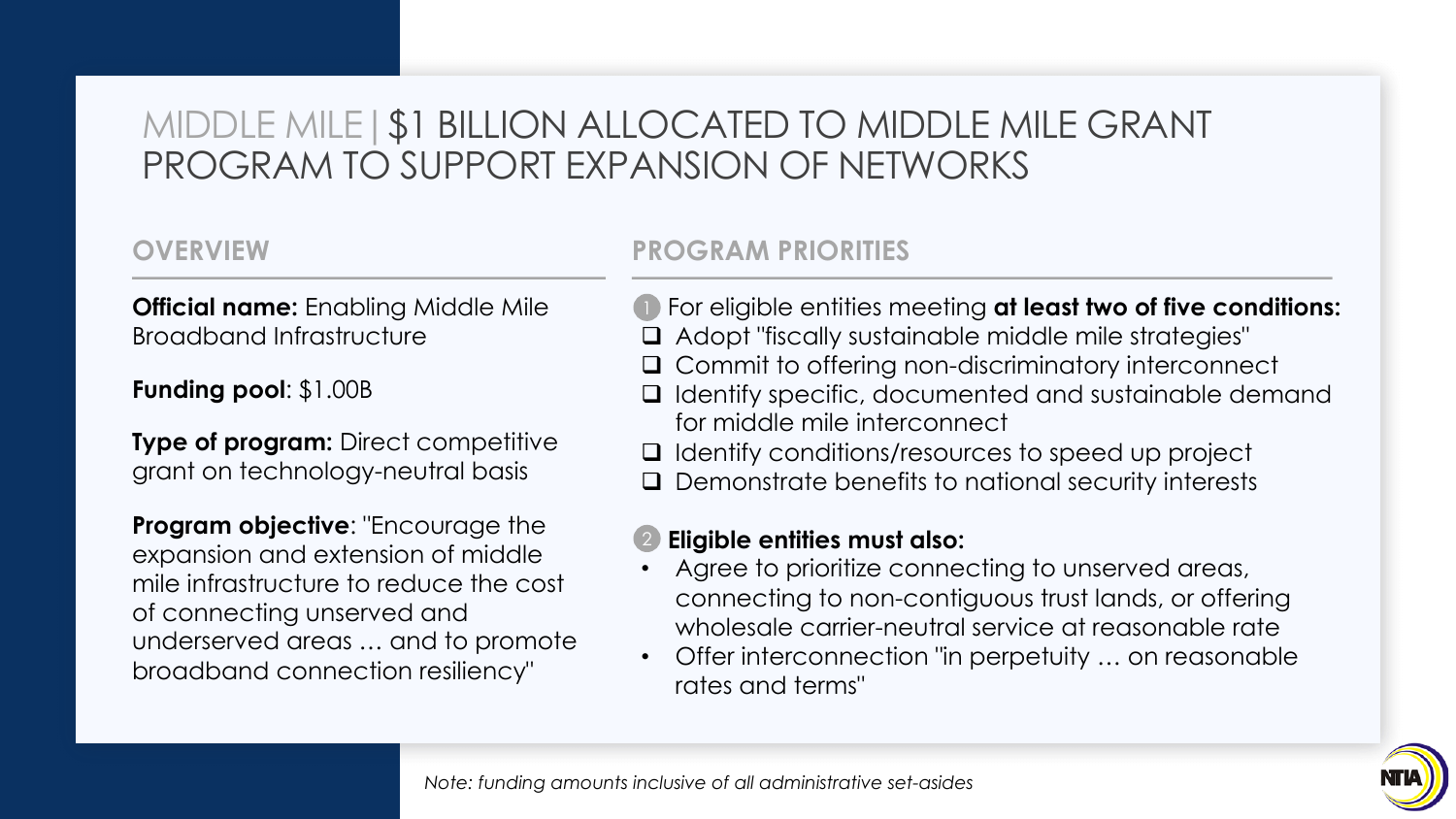# MIDDLE MILE|\$1 BILLION ALLOCATED TO MIDDLE MILE GRANT PROGRAM TO SUPPORT EXPANSION OF NETWORKS

## **OVERVIEW**

**Official name:** Enabling Middle Mile Broadband Infrastructure

**Funding pool**: \$1.00B

**Type of program:** Direct competitive grant on technology-neutral basis

**Program objective**: "Encourage the expansion and extension of middle mile infrastructure to reduce the cost of connecting unserved and underserved areas … and to promote broadband connection resiliency"

# **PROGRAM PRIORITIES**

- **1** For eligible entities meeting at least two of five conditions:
- $\Box$  Adopt "fiscally sustainable middle mile strategies"
- Q Commit to offering non-discriminatory interconnect
- **Q** Identify specific, documented and sustainable demand for middle mile interconnect
- q Identify conditions/resources to speed up project
- $\Box$  Demonstrate benefits to national security interests

#### **Eligible entities must also:**  2

- Agree to prioritize connecting to unserved areas, connecting to non-contiguous trust lands, or offering wholesale carrier-neutral service at reasonable rate
- Offer interconnection "in perpetuity … on reasonable rates and terms"